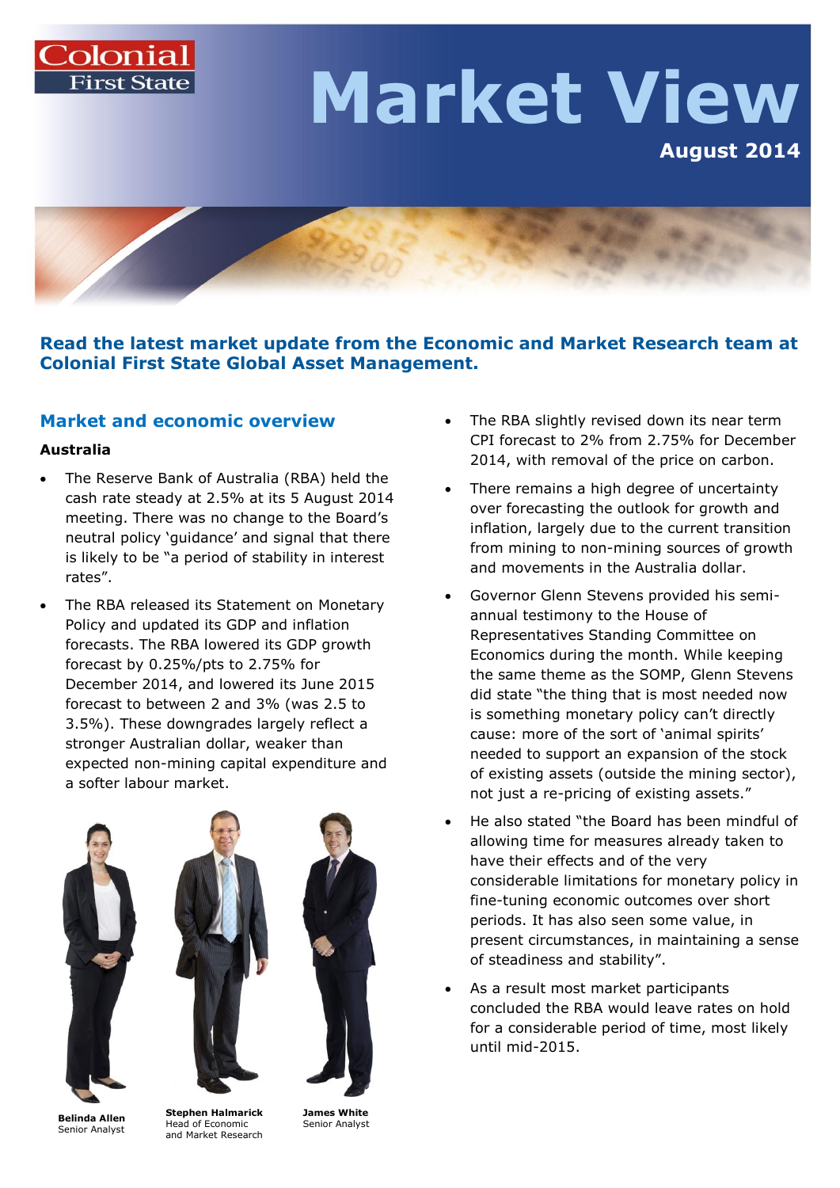# Colonial **Market View August 2014**

**Read the latest market update from the Economic and Market Research team at Colonial First State Global Asset Management.**

## **Market and economic overview**

#### **Australia**

- The Reserve Bank of Australia (RBA) held the cash rate steady at 2.5% at its 5 August 2014 meeting. There was no change to the Board's neutral policy 'guidance' and signal that there is likely to be "a period of stability in interest rates".
- The RBA released its Statement on Monetary Policy and updated its GDP and inflation forecasts. The RBA lowered its GDP growth forecast by 0.25%/pts to 2.75% for December 2014, and lowered its June 2015 forecast to between 2 and 3% (was 2.5 to 3.5%). These downgrades largely reflect a stronger Australian dollar, weaker than expected non-mining capital expenditure and a softer labour market.







**Belinda Allen** Senior Analyst

**Stephen Halmarick** Head of Economic and Market Research

**James White** Senior Analyst

- The RBA slightly revised down its near term CPI forecast to 2% from 2.75% for December 2014, with removal of the price on carbon.
- There remains a high degree of uncertainty over forecasting the outlook for growth and inflation, largely due to the current transition from mining to non-mining sources of growth and movements in the Australia dollar.
- Governor Glenn Stevens provided his semiannual testimony to the House of Representatives Standing Committee on Economics during the month. While keeping the same theme as the SOMP, Glenn Stevens did state "the thing that is most needed now is something monetary policy can't directly cause: more of the sort of 'animal spirits' needed to support an expansion of the stock of existing assets (outside the mining sector), not just a re-pricing of existing assets."
- He also stated "the Board has been mindful of allowing time for measures already taken to have their effects and of the very considerable limitations for monetary policy in fine-tuning economic outcomes over short periods. It has also seen some value, in present circumstances, in maintaining a sense of steadiness and stability".
- As a result most market participants concluded the RBA would leave rates on hold for a considerable period of time, most likely until mid-2015.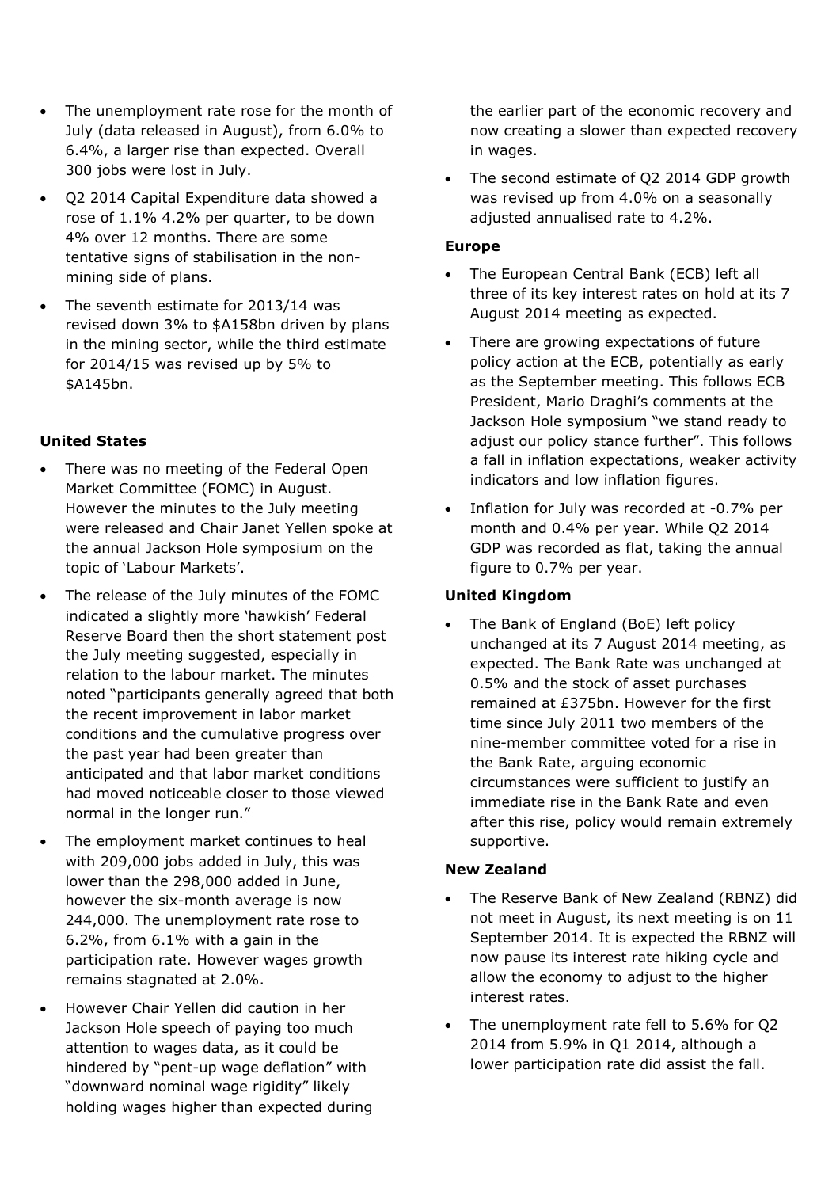- The unemployment rate rose for the month of July (data released in August), from 6.0% to 6.4%, a larger rise than expected. Overall 300 jobs were lost in July.
- Q2 2014 Capital Expenditure data showed a rose of 1.1% 4.2% per quarter, to be down 4% over 12 months. There are some tentative signs of stabilisation in the nonmining side of plans.
- The seventh estimate for 2013/14 was revised down 3% to \$A158bn driven by plans in the mining sector, while the third estimate for 2014/15 was revised up by 5% to \$A145bn.

### **United States**

- There was no meeting of the Federal Open Market Committee (FOMC) in August. However the minutes to the July meeting were released and Chair Janet Yellen spoke at the annual Jackson Hole symposium on the topic of 'Labour Markets'.
- The release of the July minutes of the FOMC indicated a slightly more 'hawkish' Federal Reserve Board then the short statement post the July meeting suggested, especially in relation to the labour market. The minutes noted "participants generally agreed that both the recent improvement in labor market conditions and the cumulative progress over the past year had been greater than anticipated and that labor market conditions had moved noticeable closer to those viewed normal in the longer run."
- The employment market continues to heal with 209,000 jobs added in July, this was lower than the 298,000 added in June, however the six-month average is now 244,000. The unemployment rate rose to 6.2%, from 6.1% with a gain in the participation rate. However wages growth remains stagnated at 2.0%.
- However Chair Yellen did caution in her Jackson Hole speech of paying too much attention to wages data, as it could be hindered by "pent-up wage deflation" with "downward nominal wage rigidity" likely holding wages higher than expected during

the earlier part of the economic recovery and now creating a slower than expected recovery in wages.

 The second estimate of Q2 2014 GDP growth was revised up from 4.0% on a seasonally adjusted annualised rate to 4.2%.

#### **Europe**

- The European Central Bank (ECB) left all three of its key interest rates on hold at its 7 August 2014 meeting as expected.
- There are growing expectations of future policy action at the ECB, potentially as early as the September meeting. This follows ECB President, Mario Draghi's comments at the Jackson Hole symposium "we stand ready to adjust our policy stance further". This follows a fall in inflation expectations, weaker activity indicators and low inflation figures.
- Inflation for July was recorded at -0.7% per month and 0.4% per year. While Q2 2014 GDP was recorded as flat, taking the annual figure to 0.7% per year.

## **United Kingdom**

• The Bank of England (BoE) left policy unchanged at its 7 August 2014 meeting, as expected. The Bank Rate was unchanged at 0.5% and the stock of asset purchases remained at £375bn. However for the first time since July 2011 two members of the nine-member committee voted for a rise in the Bank Rate, arguing economic circumstances were sufficient to justify an immediate rise in the Bank Rate and even after this rise, policy would remain extremely supportive.

## **New Zealand**

- The Reserve Bank of New Zealand (RBNZ) did not meet in August, its next meeting is on 11 September 2014. It is expected the RBNZ will now pause its interest rate hiking cycle and allow the economy to adjust to the higher interest rates.
- The unemployment rate fell to 5.6% for Q2 2014 from 5.9% in Q1 2014, although a lower participation rate did assist the fall.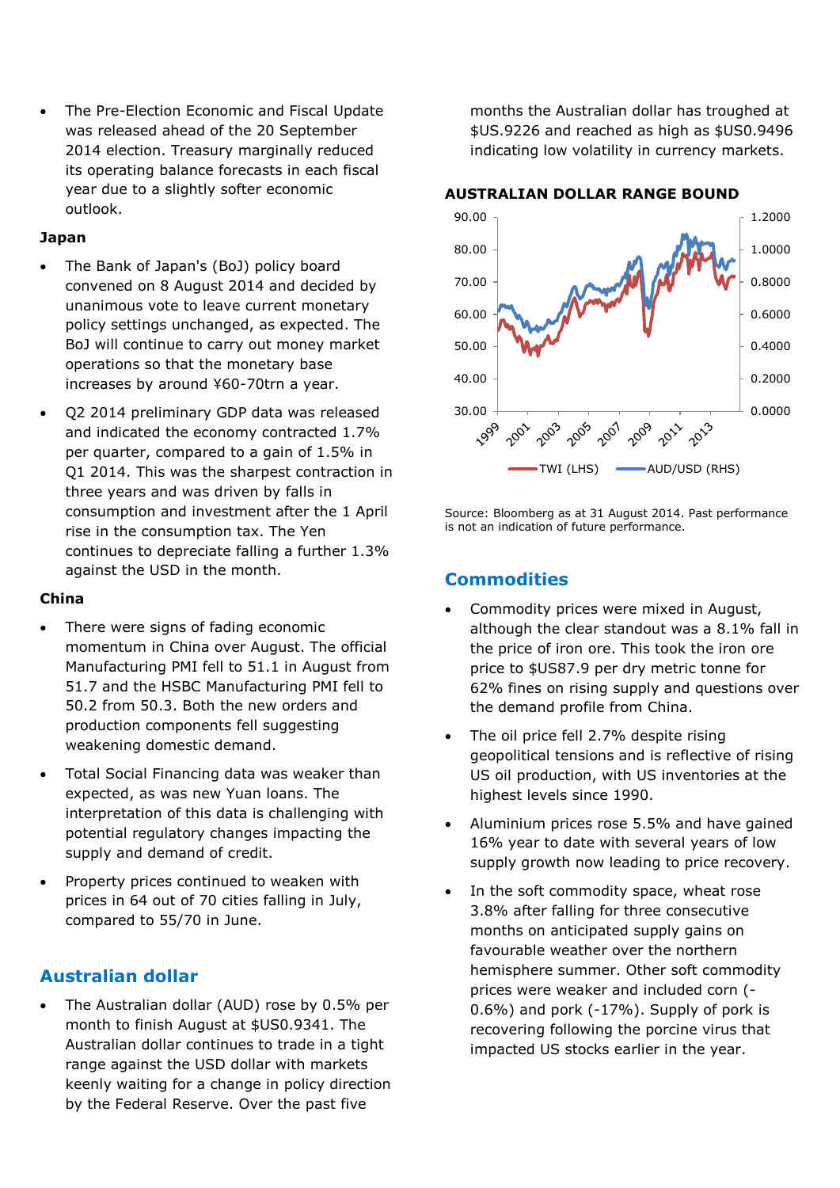The Pre-Election Economic and Fiscal Update was released ahead of the 20 September 2014 election. Treasury marginally reduced its operating balance forecasts in each fiscal year due to a slightly softer economic outlook.

#### **Japan**

- The Bank of Japan's (BoJ) policy board convened on 8 August 2014 and decided by unanimous vote to leave current monetary policy settings unchanged, as expected. The BoJ will continue to carry out money market operations so that the monetary base increases by around ¥60-70trn a year.
- Q2 2014 preliminary GDP data was released and indicated the economy contracted 1.7% per quarter, compared to a gain of 1.5% in Q1 2014. This was the sharpest contraction in three years and was driven by falls in consumption and investment after the 1 April rise in the consumption tax. The Yen continues to depreciate falling a further 1.3% against the USD in the month.

#### **China**

- There were signs of fading economic momentum in China over August. The official Manufacturing PMI fell to 51.1 in August from 51.7 and the HSBC Manufacturing PMI fell to 50.2 from 50.3. Both the new orders and production components fell suggesting weakening domestic demand.
- Total Social Financing data was weaker than expected, as was new Yuan loans. The interpretation of this data is challenging with potential regulatory changes impacting the supply and demand of credit.
- Property prices continued to weaken with prices in 64 out of 70 cities falling in July, compared to 55/70 in June.

## **Australian dollar**

 The Australian dollar (AUD) rose by 0.5% per month to finish August at \$US0.9341. The Australian dollar continues to trade in a tight range against the USD dollar with markets keenly waiting for a change in policy direction by the Federal Reserve. Over the past five

months the Australian dollar has troughed at \$US.9226 and reached as high as \$US0.9496 indicating low volatility in currency markets.

#### **AUSTRALIAN DOLLAR RANGE BOUND**



Source: Bloomberg as at 31 August 2014. Past performance is not an indication of future performance.

## **Commodities**

- Commodity prices were mixed in August, although the clear standout was a 8.1% fall in the price of iron ore. This took the iron ore price to \$US87.9 per dry metric tonne for 62% fines on rising supply and questions over the demand profile from China.
- The oil price fell 2.7% despite rising geopolitical tensions and is reflective of rising US oil production, with US inventories at the highest levels since 1990.
- Aluminium prices rose 5.5% and have gained 16% year to date with several years of low supply growth now leading to price recovery.
- In the soft commodity space, wheat rose 3.8% after falling for three consecutive months on anticipated supply gains on favourable weather over the northern hemisphere summer. Other soft commodity prices were weaker and included corn (- 0.6%) and pork (-17%). Supply of pork is recovering following the porcine virus that impacted US stocks earlier in the year.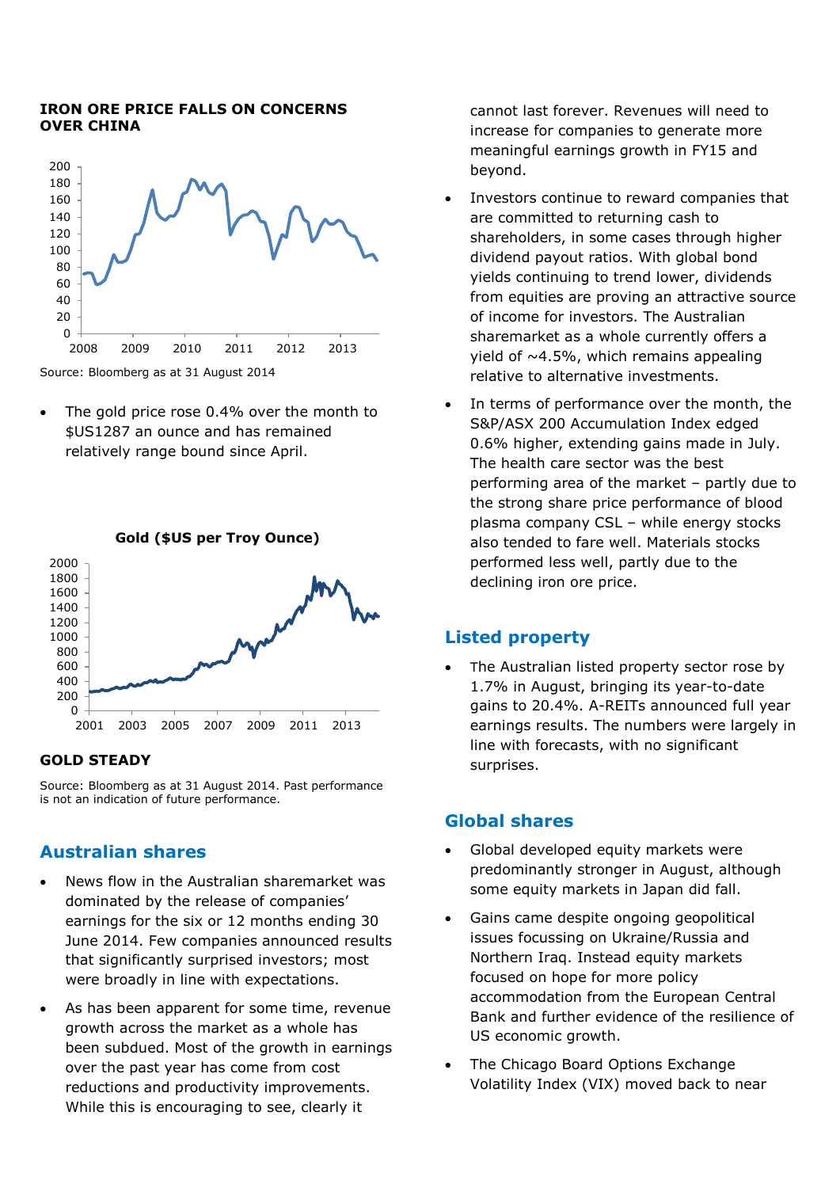#### **IRON ORE PRICE FALLS ON CONCERNS OVER CHINA**



• The gold price rose 0.4% over the month to \$US1287 an ounce and has remained relatively range bound since April.



#### **GOLD STEADY**

Source: Bloomberg as at 31 August 2014. Past performance is not an indication of future performance.

## **Australian shares**

- News flow in the Australian sharemarket was dominated by the release of companies' earnings for the six or 12 months ending 30 June 2014. Few companies announced results that significantly surprised investors; most were broadly in line with expectations.
- As has been apparent for some time, revenue growth across the market as a whole has been subdued. Most of the growth in earnings over the past year has come from cost reductions and productivity improvements. While this is encouraging to see, clearly it

cannot last forever. Revenues will need to increase for companies to generate more meaningful earnings growth in FY15 and beyond.

- Investors continue to reward companies that are committed to returning cash to shareholders, in some cases through higher dividend payout ratios. With global bond yields continuing to trend lower, dividends from equities are proving an attractive source of income for investors. The Australian sharemarket as a whole currently offers a yield of  $~1.5\%$ , which remains appealing relative to alternative investments.
- In terms of performance over the month, the S&P/ASX 200 Accumulation Index edged 0.6% higher, extending gains made in July. The health care sector was the best performing area of the market – partly due to the strong share price performance of blood plasma company CSL – while energy stocks also tended to fare well. Materials stocks performed less well, partly due to the declining iron ore price.

# **Listed property**

 The Australian listed property sector rose by 1.7% in August, bringing its year-to-date gains to 20.4%. A-REITs announced full year earnings results. The numbers were largely in line with forecasts, with no significant surprises.

## **Global shares**

- Global developed equity markets were predominantly stronger in August, although some equity markets in Japan did fall.
- Gains came despite ongoing geopolitical issues focussing on Ukraine/Russia and Northern Iraq. Instead equity markets focused on hope for more policy accommodation from the European Central Bank and further evidence of the resilience of US economic growth.
- The Chicago Board Options Exchange Volatility Index (VIX) moved back to near